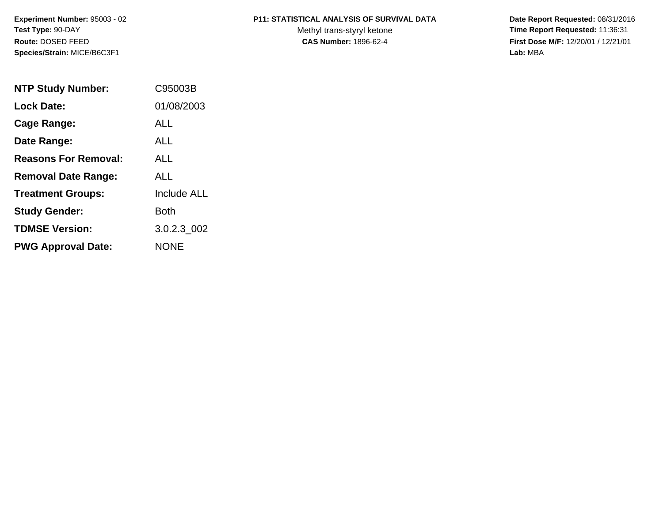**Experiment Number:** 95003 - 02**Test Type:** 90-DAY**Route:** DOSED FEED**Species/Strain:** MICE/B6C3F1

### **P11: STATISTICAL ANALYSIS OF SURVIVAL DATA**

Methyl trans-styryl ketone<br>CAS Number: 1896-62-4

 **Date Report Requested:** 08/31/2016 **Time Report Requested:** 11:36:31 **First Dose M/F:** 12/20/01 / 12/21/01<br>Lab: MBA **Lab:** MBA

| <b>NTP Study Number:</b>    | C95003B            |
|-----------------------------|--------------------|
| <b>Lock Date:</b>           | 01/08/2003         |
| Cage Range:                 | ALL.               |
| Date Range:                 | AI I               |
| <b>Reasons For Removal:</b> | AI I               |
| <b>Removal Date Range:</b>  | ALL                |
| <b>Treatment Groups:</b>    | <b>Include ALL</b> |
| <b>Study Gender:</b>        | Both               |
| <b>TDMSE Version:</b>       | 3.0.2.3 002        |
| <b>PWG Approval Date:</b>   | <b>NONE</b>        |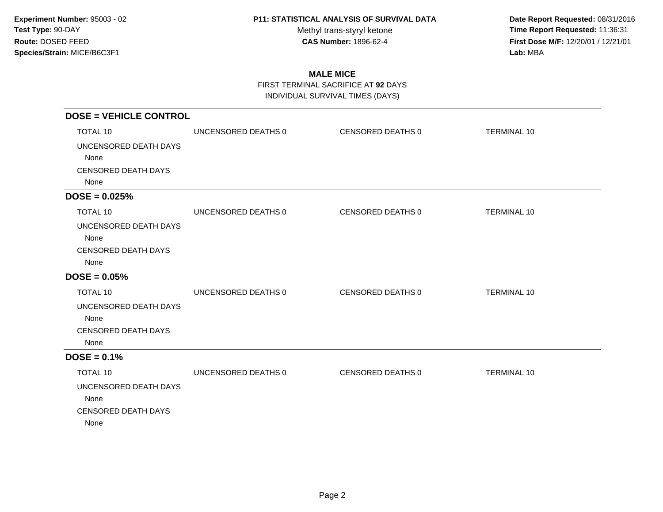Methyl trans-styryl ketone<br>CAS Number: 1896-62-4

 **Date Report Requested:** 08/31/2016 **Time Report Requested:** 11:36:31 **First Dose M/F:** 12/20/01 / 12/21/01<br>Lab: MBA **Lab:** MBA

## **MALE MICE**

FIRST TERMINAL SACRIFICE AT **92** DAYS

INDIVIDUAL SURVIVAL TIMES (DAYS)

| <b>DOSE = VEHICLE CONTROL</b> |                     |                   |                    |
|-------------------------------|---------------------|-------------------|--------------------|
| <b>TOTAL 10</b>               | UNCENSORED DEATHS 0 | CENSORED DEATHS 0 | <b>TERMINAL 10</b> |
| UNCENSORED DEATH DAYS         |                     |                   |                    |
| None                          |                     |                   |                    |
| <b>CENSORED DEATH DAYS</b>    |                     |                   |                    |
| None                          |                     |                   |                    |
| $DOSE = 0.025%$               |                     |                   |                    |
| TOTAL 10                      | UNCENSORED DEATHS 0 | CENSORED DEATHS 0 | <b>TERMINAL 10</b> |
| UNCENSORED DEATH DAYS         |                     |                   |                    |
| None                          |                     |                   |                    |
| <b>CENSORED DEATH DAYS</b>    |                     |                   |                    |
| None                          |                     |                   |                    |
| $DOSE = 0.05%$                |                     |                   |                    |
| <b>TOTAL 10</b>               | UNCENSORED DEATHS 0 | CENSORED DEATHS 0 | <b>TERMINAL 10</b> |
| UNCENSORED DEATH DAYS         |                     |                   |                    |
| None                          |                     |                   |                    |
| <b>CENSORED DEATH DAYS</b>    |                     |                   |                    |
| None                          |                     |                   |                    |
| $DOSE = 0.1%$                 |                     |                   |                    |
| <b>TOTAL 10</b>               | UNCENSORED DEATHS 0 | CENSORED DEATHS 0 | <b>TERMINAL 10</b> |
| UNCENSORED DEATH DAYS         |                     |                   |                    |
| None                          |                     |                   |                    |
| <b>CENSORED DEATH DAYS</b>    |                     |                   |                    |
| None                          |                     |                   |                    |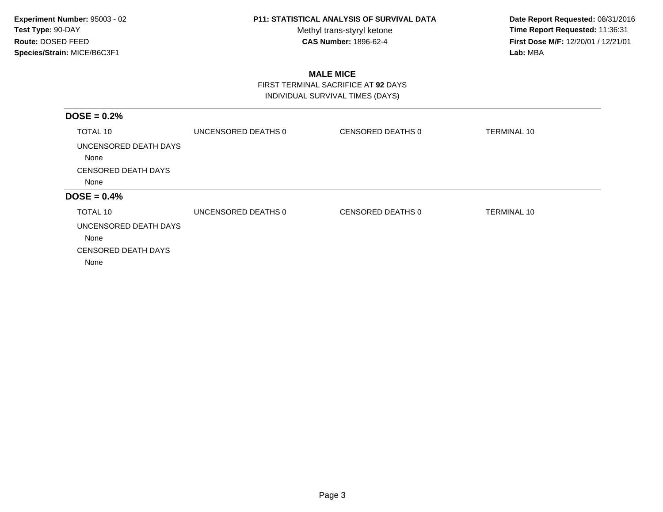Methyl trans-styryl ketone<br>CAS Number: 1896-62-4

 **Date Report Requested:** 08/31/2016 **Time Report Requested:** 11:36:31 **First Dose M/F:** 12/20/01 / 12/21/01<br>Lab: MBA **Lab:** MBA

## **MALE MICE**

 FIRST TERMINAL SACRIFICE AT **92** DAYSINDIVIDUAL SURVIVAL TIMES (DAYS)

| $DOSE = 0.2%$                                                       |                     |                          |                    |
|---------------------------------------------------------------------|---------------------|--------------------------|--------------------|
| TOTAL 10                                                            | UNCENSORED DEATHS 0 | <b>CENSORED DEATHS 0</b> | <b>TERMINAL 10</b> |
| UNCENSORED DEATH DAYS<br>None                                       |                     |                          |                    |
| <b>CENSORED DEATH DAYS</b>                                          |                     |                          |                    |
| None                                                                |                     |                          |                    |
| $DOSE = 0.4%$                                                       |                     |                          |                    |
| TOTAL 10                                                            | UNCENSORED DEATHS 0 | CENSORED DEATHS 0        | <b>TERMINAL 10</b> |
| UNCENSORED DEATH DAYS<br>None<br><b>CENSORED DEATH DAYS</b><br>None |                     |                          |                    |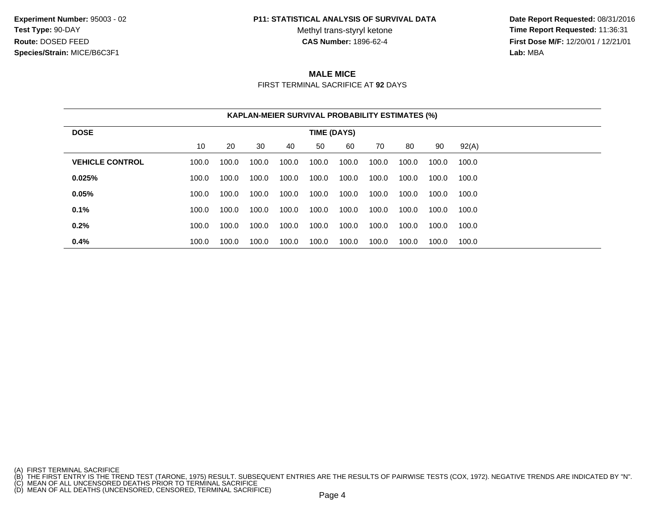**Experiment Number:** 95003 - 02**Test Type:** 90-DAY**Route:** DOSED FEED**Species/Strain:** MICE/B6C3F1

#### **P11: STATISTICAL ANALYSIS OF SURVIVAL DATA**

Methyl trans-styryl ketone<br>CAS Number: 1896-62-4

 **Date Report Requested:** 08/31/2016 **Time Report Requested:** 11:36:31 **First Dose M/F:** 12/20/01 / 12/21/01<br>**Lab:** MBA **Lab:** MBA

# **MALE MICE**

FIRST TERMINAL SACRIFICE AT **92** DAYS

|                        |       |       |       |       |             | <b>KAPLAN-MEIER SURVIVAL PROBABILITY ESTIMATES (%)</b> |       |       |       |       |
|------------------------|-------|-------|-------|-------|-------------|--------------------------------------------------------|-------|-------|-------|-------|
| <b>DOSE</b>            |       |       |       |       | TIME (DAYS) |                                                        |       |       |       |       |
|                        | 10    | 20    | 30    | 40    | 50          | 60                                                     | 70    | 80    | 90    | 92(A) |
| <b>VEHICLE CONTROL</b> | 100.0 | 100.0 | 100.0 | 100.0 | 100.0       | 100.0                                                  | 100.0 | 100.0 | 100.0 | 100.0 |
| 0.025%                 | 100.0 | 100.0 | 100.0 | 100.0 | 100.0       | 100.0                                                  | 100.0 | 100.0 | 100.0 | 100.0 |
| 0.05%                  | 100.0 | 100.0 | 100.0 | 100.0 | 100.0       | 100.0                                                  | 100.0 | 100.0 | 100.0 | 100.0 |
| 0.1%                   | 100.0 | 100.0 | 100.0 | 100.0 | 100.0       | 100.0                                                  | 100.0 | 100.0 | 100.0 | 100.0 |
| 0.2%                   | 100.0 | 100.0 | 100.0 | 100.0 | 100.0       | 100.0                                                  | 100.0 | 100.0 | 100.0 | 100.0 |
| 0.4%                   | 100.0 | 100.0 | 100.0 | 100.0 | 100.0       | 100.0                                                  | 100.0 | 100.0 | 100.0 | 100.0 |

<sup>(</sup>A) FIRST TERMINAL SACRIFICE<br>(B) THE FIRST ENTRY IS THE TREND TEST (TARONE, 1975) RESULT. SUBSEQUENT ENTRIES ARE THE RESULTS OF PAIRWISE TESTS (COX, 1972). NEGATIVE TRENDS ARE INDICATED BY "N".<br>(C) MEAN OF ALL UNCENSORED D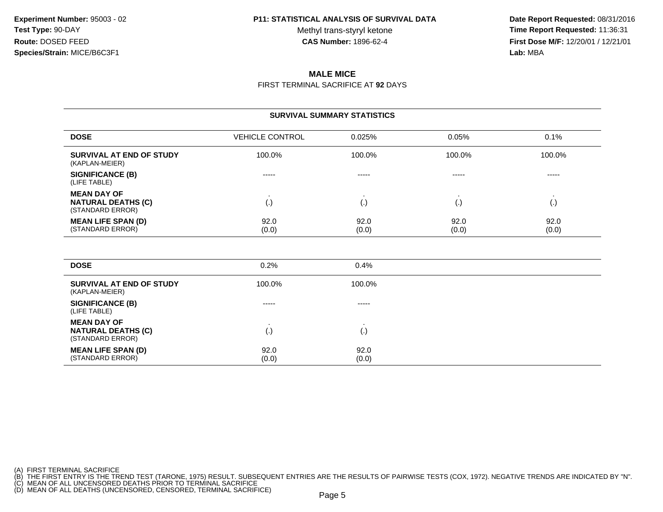Methyl trans-styryl ketone<br>CAS Number: 1896-62-4

 **Date Report Requested:** 08/31/2016 **Time Report Requested:** 11:36:31 **First Dose M/F:** 12/20/01 / 12/21/01<br>**Lab:** MBA **Lab:** MBA

## **MALE MICE**

FIRST TERMINAL SACRIFICE AT **92** DAYS

#### **SURVIVAL SUMMARY STATISTICSDOSE**VEHICLE CONTROL 0.025% % 0.05% 0.1% **SURVIVAL AT END OF STUDY** 100.0%% 100.0% 100.0% 100.0% 100.0% 100.0% (KAPLAN-MEIER)**SIGNIFICANCE (B)** ----- ----- ----- ----- (LIFE TABLE)**MEAN DAY OF** . . . . **NATURAL DEATHS (C)** (.) (.) (.) (.) (STANDARD ERROR)**MEAN LIFE SPAN (D)** 92.00 92.0 92.0 92.0 92.0 92.0 (STANDARD ERROR) (0.0) $(0.0)$   $(0.0)$   $(0.0)$   $(0.0)$ **DOSE** $E = 0.2\%$ %  $0.4\%$

| SURVIVAL AT END OF STUDY<br>(KAPLAN-MEIER)                          | 100.0%            | 100.0%        |
|---------------------------------------------------------------------|-------------------|---------------|
| SIGNIFICANCE (B)<br>(LIFE TABLE)                                    | -----             | $- - - - -$   |
| <b>MEAN DAY OF</b><br><b>NATURAL DEATHS (C)</b><br>(STANDARD ERROR) | $\left( .\right)$ |               |
| <b>MEAN LIFE SPAN (D)</b><br>(STANDARD ERROR)                       | 92.0<br>(0.0)     | 92.0<br>(0.0) |

(A) FIRST TERMINAL SACRIFICE

<sup>(</sup>B) THE FIRST ENTRY IS THE TREND TEST (TARONE, 1975) RESULT. SUBSEQUENT ENTRIES ARE THE RESULTS OF PAIRWISE TESTS (COX, 1972). NEGATIVE TRENDS ARE INDICATED BY "N".<br>(C) MEAN OF ALL UNCENSORED DEATHS PRIOR TO TERMINAL SACRI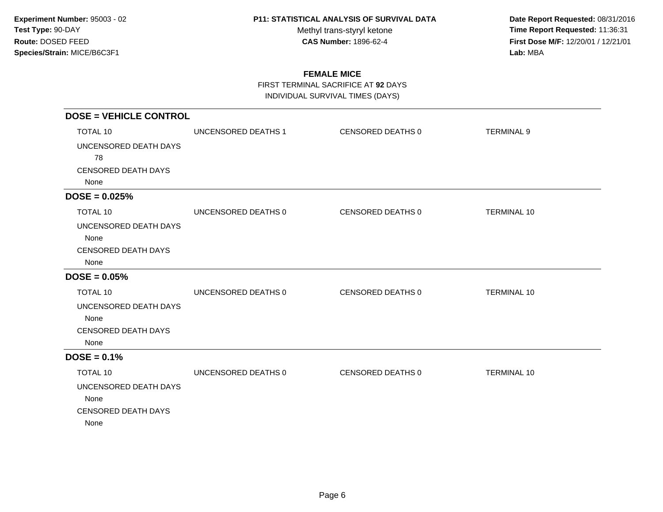Methyl trans-styryl ketone<br>CAS Number: 1896-62-4

 **Date Report Requested:** 08/31/2016 **Time Report Requested:** 11:36:31 **First Dose M/F:** 12/20/01 / 12/21/01<br>Lab: MBA **Lab:** MBA

## **FEMALE MICE**

FIRST TERMINAL SACRIFICE AT **92** DAYS

INDIVIDUAL SURVIVAL TIMES (DAYS)

| <b>DOSE = VEHICLE CONTROL</b> |                     |                   |                    |
|-------------------------------|---------------------|-------------------|--------------------|
| TOTAL 10                      | UNCENSORED DEATHS 1 | CENSORED DEATHS 0 | <b>TERMINAL 9</b>  |
| UNCENSORED DEATH DAYS         |                     |                   |                    |
| 78                            |                     |                   |                    |
| <b>CENSORED DEATH DAYS</b>    |                     |                   |                    |
| None                          |                     |                   |                    |
| $DOSE = 0.025%$               |                     |                   |                    |
| TOTAL 10                      | UNCENSORED DEATHS 0 | CENSORED DEATHS 0 | <b>TERMINAL 10</b> |
| UNCENSORED DEATH DAYS         |                     |                   |                    |
| None                          |                     |                   |                    |
| <b>CENSORED DEATH DAYS</b>    |                     |                   |                    |
| None                          |                     |                   |                    |
| $DOSE = 0.05%$                |                     |                   |                    |
| TOTAL 10                      | UNCENSORED DEATHS 0 | CENSORED DEATHS 0 | <b>TERMINAL 10</b> |
| UNCENSORED DEATH DAYS         |                     |                   |                    |
| None                          |                     |                   |                    |
| <b>CENSORED DEATH DAYS</b>    |                     |                   |                    |
| None                          |                     |                   |                    |
| $DOSE = 0.1%$                 |                     |                   |                    |
| <b>TOTAL 10</b>               | UNCENSORED DEATHS 0 | CENSORED DEATHS 0 | <b>TERMINAL 10</b> |
| UNCENSORED DEATH DAYS         |                     |                   |                    |
| None                          |                     |                   |                    |
| <b>CENSORED DEATH DAYS</b>    |                     |                   |                    |
| None                          |                     |                   |                    |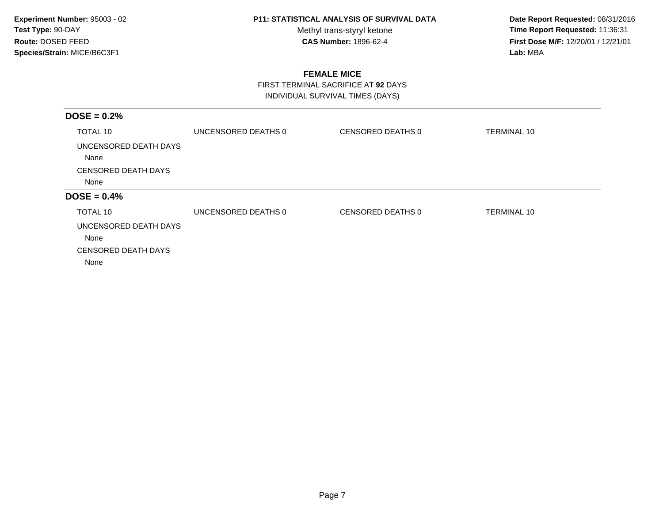Methyl trans-styryl ketone<br>CAS Number: 1896-62-4

 **Date Report Requested:** 08/31/2016 **Time Report Requested:** 11:36:31 **First Dose M/F:** 12/20/01 / 12/21/01<br>Lab: MBA **Lab:** MBA

## **FEMALE MICE**

 FIRST TERMINAL SACRIFICE AT **92** DAYSINDIVIDUAL SURVIVAL TIMES (DAYS)

| UNCENSORED DEATHS 0 | CENSORED DEATHS 0 | <b>TERMINAL 10</b> |
|---------------------|-------------------|--------------------|
|                     |                   |                    |
|                     |                   |                    |
|                     |                   |                    |
|                     |                   |                    |
| UNCENSORED DEATHS 0 | CENSORED DEATHS 0 | <b>TERMINAL 10</b> |
|                     |                   |                    |
|                     |                   |                    |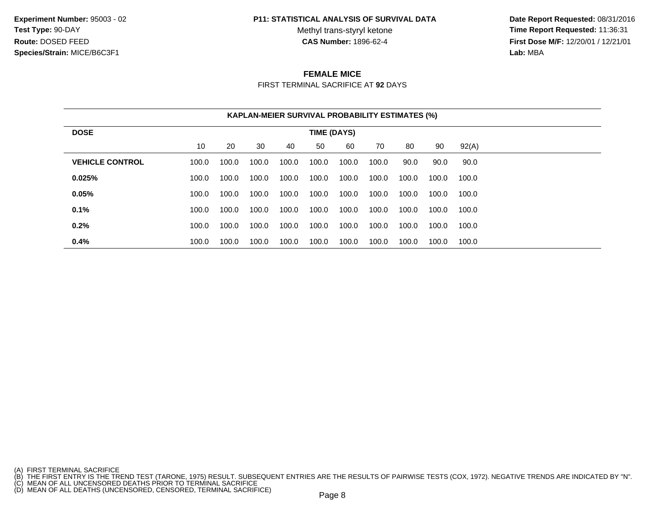**Experiment Number:** 95003 - 02**Test Type:** 90-DAY**Route:** DOSED FEED**Species/Strain:** MICE/B6C3F1

#### **P11: STATISTICAL ANALYSIS OF SURVIVAL DATA**

Methyl trans-styryl ketone<br>CAS Number: 1896-62-4

 **Date Report Requested:** 08/31/2016 **Time Report Requested:** 11:36:31 **First Dose M/F:** 12/20/01 / 12/21/01<br>**Lab:** MBA **Lab:** MBA

### **FEMALE MICE**

FIRST TERMINAL SACRIFICE AT **92** DAYS

|                        | <b>KAPLAN-MEIER SURVIVAL PROBABILITY ESTIMATES (%)</b> |       |       |       |             |       |       |       |       |       |
|------------------------|--------------------------------------------------------|-------|-------|-------|-------------|-------|-------|-------|-------|-------|
| <b>DOSE</b>            |                                                        |       |       |       | TIME (DAYS) |       |       |       |       |       |
|                        | 10                                                     | 20    | 30    | 40    | 50          | 60    | 70    | 80    | 90    | 92(A) |
| <b>VEHICLE CONTROL</b> | 100.0                                                  | 100.0 | 100.0 | 100.0 | 100.0       | 100.0 | 100.0 | 90.0  | 90.0  | 90.0  |
| 0.025%                 | 100.0                                                  | 100.0 | 100.0 | 100.0 | 100.0       | 100.0 | 100.0 | 100.0 | 100.0 | 100.0 |
| 0.05%                  | 100.0                                                  | 100.0 | 100.0 | 100.0 | 100.0       | 100.0 | 100.0 | 100.0 | 100.0 | 100.0 |
| 0.1%                   | 100.0                                                  | 100.0 | 100.0 | 100.0 | 100.0       | 100.0 | 100.0 | 100.0 | 100.0 | 100.0 |
| 0.2%                   | 100.0                                                  | 100.0 | 100.0 | 100.0 | 100.0       | 100.0 | 100.0 | 100.0 | 100.0 | 100.0 |
| 0.4%                   | 100.0                                                  | 100.0 | 100.0 | 100.0 | 100.0       | 100.0 | 100.0 | 100.0 | 100.0 | 100.0 |

- 
- 

<sup>(</sup>A) FIRST TERMINAL SACRIFICE<br>(B) THE FIRST ENTRY IS THE TREND TEST (TARONE, 1975) RESULT. SUBSEQUENT ENTRIES ARE THE RESULTS OF PAIRWISE TESTS (COX, 1972). NEGATIVE TRENDS ARE INDICATED BY "N".<br>(C) MEAN OF ALL UNCENSORED D